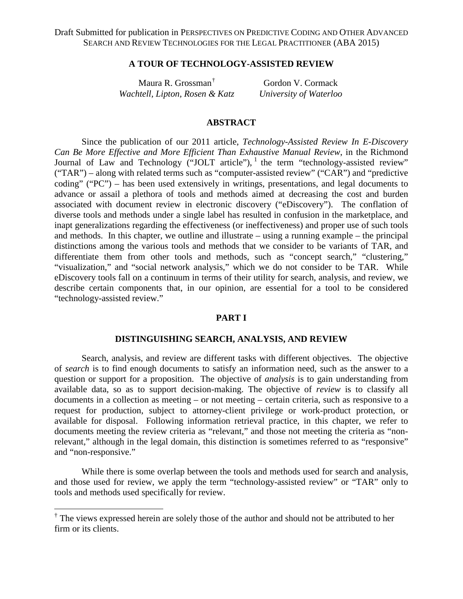Draft Submitted for publication in PERSPECTIVES ON PREDICTIVE CODING AND OTHER ADVANCED SEARCH AND REVIEW TECHNOLOGIES FOR THE LEGAL PRACTITIONER (ABA 2015)

### **A TOUR OF TECHNOLOGY-ASSISTED REVIEW**

| Maura R. Grossman <sup>†</sup> | Gordon V. Cormack      |
|--------------------------------|------------------------|
| Wachtell, Lipton, Rosen & Katz | University of Waterloo |

#### **ABSTRACT**

Since the publication of our 2011 article, *Technology-Assisted Review In E-Discovery Can Be More Effective and More Efficient Than Exhaustive Manual Review*, in the Richmond Journal of Law and Technology  $\dddot{H}$  ("JOLT article"), <sup>[1](#page-19-0)</sup> the term "technology-assisted review"  $("TAR")$  – along with related terms such as "computer-assisted review" ("CAR") and "predictive coding" ("PC") – has been used extensively in writings, presentations, and legal documents to advance or assail a plethora of tools and methods aimed at decreasing the cost and burden associated with document review in electronic discovery ("eDiscovery"). The conflation of diverse tools and methods under a single label has resulted in confusion in the marketplace, and inapt generalizations regarding the effectiveness (or ineffectiveness) and proper use of such tools and methods. In this chapter, we outline and illustrate – using a running example – the principal distinctions among the various tools and methods that we consider to be variants of TAR, and differentiate them from other tools and methods, such as "concept search," "clustering," "visualization," and "social network analysis," which we do not consider to be TAR. While eDiscovery tools fall on a continuum in terms of their utility for search, analysis, and review, we describe certain components that, in our opinion, are essential for a tool to be considered "technology-assisted review."

#### **PART I**

### **DISTINGUISHING SEARCH, ANALYSIS, AND REVIEW**

Search, analysis, and review are different tasks with different objectives. The objective of *search* is to find enough documents to satisfy an information need, such as the answer to a question or support for a proposition. The objective of *analysis* is to gain understanding from available data, so as to support decision-making. The objective of *review* is to classify all documents in a collection as meeting – or not meeting – certain criteria, such as responsive to a request for production, subject to attorney-client privilege or work-product protection, or available for disposal. Following information retrieval practice, in this chapter, we refer to documents meeting the review criteria as "relevant," and those not meeting the criteria as "nonrelevant," although in the legal domain, this distinction is sometimes referred to as "responsive" and "non-responsive."

While there is some overlap between the tools and methods used for search and analysis, and those used for review, we apply the term "technology-assisted review" or "TAR" only to tools and methods used specifically for review.

<span id="page-0-0"></span><sup>&</sup>lt;sup>†</sup> The views expressed herein are solely those of the author and should not be attributed to her firm or its clients.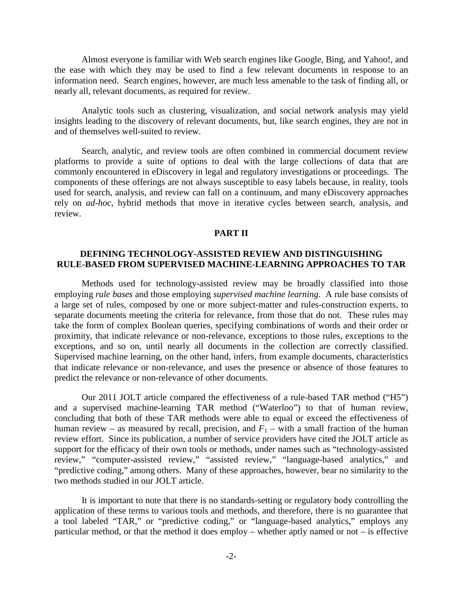Almost everyone is familiar with Web search engines like Google, Bing, and Yahoo!, and the ease with which they may be used to find a few relevant documents in response to an information need. Search engines, however, are much less amenable to the task of finding all, or nearly all, relevant documents, as required for review.

Analytic tools such as clustering, visualization, and social network analysis may yield insights leading to the discovery of relevant documents, but, like search engines, they are not in and of themselves well-suited to review.

Search, analytic, and review tools are often combined in commercial document review platforms to provide a suite of options to deal with the large collections of data that are commonly encountered in eDiscovery in legal and regulatory investigations or proceedings. The components of these offerings are not always susceptible to easy labels because, in reality, tools used for search, analysis, and review can fall on a continuum, and many eDiscovery approaches rely on *ad-hoc*, hybrid methods that move in iterative cycles between search, analysis, and review.

### **PART II**

### **DEFINING TECHNOLOGY-ASSISTED REVIEW AND DISTINGUISHING RULE-BASED FROM SUPERVISED MACHINE-LEARNING APPROACHES TO TAR**

Methods used for technology-assisted review may be broadly classified into those employing *rule bases* and those employing *supervised machine learning*. A rule base consists of a large set of rules, composed by one or more subject-matter and rules-construction experts, to separate documents meeting the criteria for relevance, from those that do not. These rules may take the form of complex Boolean queries, specifying combinations of words and their order or proximity, that indicate relevance or non-relevance, exceptions to those rules, exceptions to the exceptions, and so on, until nearly all documents in the collection are correctly classified. Supervised machine learning, on the other hand, infers, from example documents, characteristics that indicate relevance or non-relevance, and uses the presence or absence of those features to predict the relevance or non-relevance of other documents.

Our 2011 JOLT article compared the effectiveness of a rule-based TAR method ("H5") and a supervised machine-learning TAR method ("Waterloo") to that of human review, concluding that both of these TAR methods were able to equal or exceed the effectiveness of human review – as measured by recall, precision, and  $F_1$  – with a small fraction of the human review effort. Since its publication, a number of service providers have cited the JOLT article as support for the efficacy of their own tools or methods, under names such as "technology-assisted review," "computer-assisted review," "assisted review," "language-based analytics," and "predictive coding," among others. Many of these approaches, however, bear no similarity to the two methods studied in our JOLT article.

It is important to note that there is no standards-setting or regulatory body controlling the application of these terms to various tools and methods, and therefore, there is no guarantee that a tool labeled "TAR," or "predictive coding," or "language-based analytics," employs any particular method, or that the method it does employ – whether aptly named or not – is effective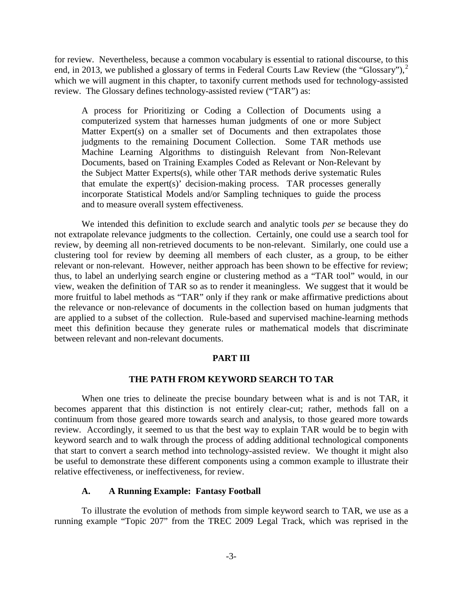for review. Nevertheless, because a common vocabulary is essential to rational discourse, to this end, in [2](#page-19-1)013, we published a glossary of terms in Federal Courts Law Review (the "Glossary"),<sup>2</sup> which we will augment in this chapter, to taxonify current methods used for technology-assisted review. The Glossary defines technology-assisted review ("TAR") as:

A process for Prioritizing or Coding a Collection of Documents using a computerized system that harnesses human judgments of one or more Subject Matter Expert(s) on a smaller set of Documents and then extrapolates those judgments to the remaining Document Collection. Some TAR methods use Machine Learning Algorithms to distinguish Relevant from Non-Relevant Documents, based on Training Examples Coded as Relevant or Non-Relevant by the Subject Matter Experts(s), while other TAR methods derive systematic Rules that emulate the expert(s)' decision-making process. TAR processes generally incorporate Statistical Models and/or Sampling techniques to guide the process and to measure overall system effectiveness.

We intended this definition to exclude search and analytic tools *per se* because they do not extrapolate relevance judgments to the collection. Certainly, one could use a search tool for review, by deeming all non-retrieved documents to be non-relevant. Similarly, one could use a clustering tool for review by deeming all members of each cluster, as a group, to be either relevant or non-relevant. However, neither approach has been shown to be effective for review; thus, to label an underlying search engine or clustering method as a "TAR tool" would, in our view, weaken the definition of TAR so as to render it meaningless. We suggest that it would be more fruitful to label methods as "TAR" only if they rank or make affirmative predictions about the relevance or non-relevance of documents in the collection based on human judgments that are applied to a subset of the collection. Rule-based and supervised machine-learning methods meet this definition because they generate rules or mathematical models that discriminate between relevant and non-relevant documents.

### **PART III**

#### **THE PATH FROM KEYWORD SEARCH TO TAR**

When one tries to delineate the precise boundary between what is and is not TAR, it becomes apparent that this distinction is not entirely clear-cut; rather, methods fall on a continuum from those geared more towards search and analysis, to those geared more towards review. Accordingly, it seemed to us that the best way to explain TAR would be to begin with keyword search and to walk through the process of adding additional technological components that start to convert a search method into technology-assisted review. We thought it might also be useful to demonstrate these different components using a common example to illustrate their relative effectiveness, or ineffectiveness, for review.

### **A. A Running Example: Fantasy Football**

To illustrate the evolution of methods from simple keyword search to TAR, we use as a running example "Topic 207" from the TREC 2009 Legal Track, which was reprised in the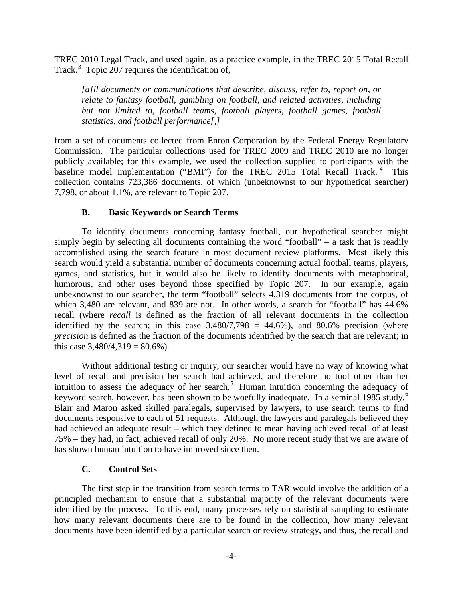TREC 2010 Legal Track, and used again, as a practice example, in the TREC 2015 Total Recall Track.<sup>[3](#page-19-2)</sup> Topic 207 requires the identification of,

*[a]ll documents or communications that describe, discuss, refer to, report on, or relate to fantasy football, gambling on football, and related activities, including but not limited to, football teams, football players, football games, football statistics, and football performance[,]*

from a set of documents collected from Enron Corporation by the Federal Energy Regulatory Commission. The particular collections used for TREC 2009 and TREC 2010 are no longer publicly available; for this example, we used the collection supplied to participants with the baseline model implementation ("BMI") for the TREC 2015 Total Recall Track.<sup>[4](#page-19-3)</sup> This collection contains 723,386 documents, of which (unbeknownst to our hypothetical searcher) 7,798, or about 1.1%, are relevant to Topic 207.

# **B. Basic Keywords or Search Terms**

To identify documents concerning fantasy football, our hypothetical searcher might simply begin by selecting all documents containing the word "football" – a task that is readily accomplished using the search feature in most document review platforms. Most likely this search would yield a substantial number of documents concerning actual football teams, players, games, and statistics, but it would also be likely to identify documents with metaphorical, humorous, and other uses beyond those specified by Topic 207. In our example, again unbeknownst to our searcher, the term "football" selects 4,319 documents from the corpus, of which 3,480 are relevant, and 839 are not. In other words, a search for "football" has 44.6% recall (where *recall* is defined as the fraction of all relevant documents in the collection identified by the search; in this case  $3,480/7,798 = 44.6\%$ ), and  $80.6\%$  precision (where *precision* is defined as the fraction of the documents identified by the search that are relevant; in this case  $3,480/4,319 = 80.6\%$ ).

Without additional testing or inquiry, our searcher would have no way of knowing what level of recall and precision her search had achieved, and therefore no tool other than her intuition to assess the adequacy of her search.<sup>[5](#page-19-4)</sup> Human intuition concerning the adequacy of keyword search, however, has been shown to be woefully inadequate. In a seminal 1985 study,<sup>[6](#page-19-5)</sup> Blair and Maron asked skilled paralegals, supervised by lawyers, to use search terms to find documents responsive to each of 51 requests. Although the lawyers and paralegals believed they had achieved an adequate result – which they defined to mean having achieved recall of at least 75% – they had, in fact, achieved recall of only 20%. No more recent study that we are aware of has shown human intuition to have improved since then.

## **C. Control Sets**

The first step in the transition from search terms to TAR would involve the addition of a principled mechanism to ensure that a substantial majority of the relevant documents were identified by the process. To this end, many processes rely on statistical sampling to estimate how many relevant documents there are to be found in the collection, how many relevant documents have been identified by a particular search or review strategy, and thus, the recall and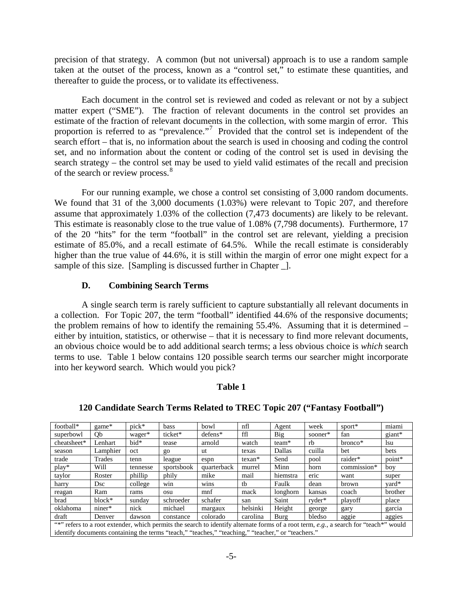precision of that strategy. A common (but not universal) approach is to use a random sample taken at the outset of the process, known as a "control set," to estimate these quantities, and thereafter to guide the process, or to validate its effectiveness.

Each document in the control set is reviewed and coded as relevant or not by a subject matter expert ("SME"). The fraction of relevant documents in the control set provides an estimate of the fraction of relevant documents in the collection, with some margin of error. This proportion is referred to as "prevalence."<sup>[7](#page-19-6)</sup> Provided that the control set is independent of the search effort – that is, no information about the search is used in choosing and coding the control set, and no information about the content or coding of the control set is used in devising the search strategy – the control set may be used to yield valid estimates of the recall and precision of the search or review process.<sup>[8](#page-19-7)</sup>

For our running example, we chose a control set consisting of 3,000 random documents. We found that 31 of the 3,000 documents (1.03%) were relevant to Topic 207, and therefore assume that approximately 1.03% of the collection (7,473 documents) are likely to be relevant. This estimate is reasonably close to the true value of 1.08% (7,798 documents). Furthermore, 17 of the 20 "hits" for the term "football" in the control set are relevant, yielding a precision estimate of 85.0%, and a recall estimate of 64.5%. While the recall estimate is considerably higher than the true value of 44.6%, it is still within the margin of error one might expect for a sample of this size. [Sampling is discussed further in Chapter \_].

## **D. Combining Search Terms**

A single search term is rarely sufficient to capture substantially all relevant documents in a collection. For Topic 207, the term "football" identified 44.6% of the responsive documents; the problem remains of how to identify the remaining 55.4%. Assuming that it is determined – either by intuition, statistics, or otherwise – that it is necessary to find more relevant documents, an obvious choice would be to add additional search terms; a less obvious choice is *which* search terms to use. Table 1 below contains 120 possible search terms our searcher might incorporate into her keyword search. Which would you pick?

## **Table 1**

| football*                                                                                                                             | game*    | $pick*$  | bass       | bowl        | nfl      | Agent             | week    | sport*              | miami   |
|---------------------------------------------------------------------------------------------------------------------------------------|----------|----------|------------|-------------|----------|-------------------|---------|---------------------|---------|
| superbowl                                                                                                                             | 0b       | wager*   | ticket*    | $defens*$   | ffl      | Big               | sooner* | fan                 | giant*  |
| cheatsheet*                                                                                                                           | Lenhart  | bid*     | tease      | arnold      | watch    | team <sup>*</sup> | rb      | bronco <sup>*</sup> | lsu     |
| season                                                                                                                                | Lamphier | oct      | go         | ut          | texas    | Dallas            | cuilla  | bet                 | bets    |
| trade                                                                                                                                 | Trades   | tenn     | league     | espn        | texan*   | Send              | pool    | raider*             | point*  |
| $play*$                                                                                                                               | Will     | tennesse | sportsbook | quarterback | murrel   | Minn              | horn    | commission*         | boy     |
| taylor                                                                                                                                | Roster   | phillip  | phily      | mike        | mail     | hiemstra          | eric    | want                | super   |
| harry                                                                                                                                 | Dsc      | college  | win        | wins        | tb       | Faulk             | dean    | brown               | vard*   |
| reagan                                                                                                                                | Ram      | rams     | osu        | mnf         | mack     | longhorn          | kansas  | coach               | brother |
| brad                                                                                                                                  | block*   | sundav   | schroeder  | schafer     | san      | Saint             | ryder*  | playoff             | place   |
| oklahoma                                                                                                                              | $niner*$ | nick     | michael    | margaux     | helsinki | Height            | george  | gary                | garcia  |
| draft                                                                                                                                 | Denver   | dawson   | constance  | colorado    | carolina | Burg              | bledso  | aggie               | aggies  |
| "*" refers to a root extender, which permits the search to identify alternate forms of a root term, e.g., a search for "teach*" would |          |          |            |             |          |                   |         |                     |         |
| identify documents containing the terms "teach," "teaches," "teaching," "teacher," or "teachers."                                     |          |          |            |             |          |                   |         |                     |         |

## **120 Candidate Search Terms Related to TREC Topic 207 ("Fantasy Football")**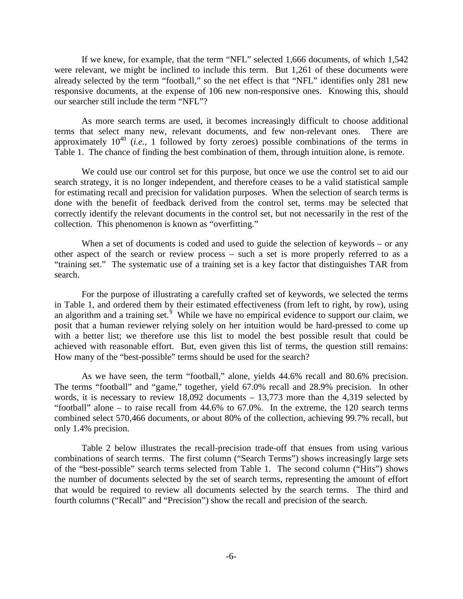If we knew, for example, that the term "NFL" selected 1,666 documents, of which 1,542 were relevant, we might be inclined to include this term. But 1,261 of these documents were already selected by the term "football," so the net effect is that "NFL" identifies only 281 new responsive documents, at the expense of 106 new non-responsive ones. Knowing this, should our searcher still include the term "NFL"?

As more search terms are used, it becomes increasingly difficult to choose additional terms that select many new, relevant documents, and few non-relevant ones. There are approximately  $10^{40}$  (*i.e.*, 1 followed by forty zeroes) possible combinations of the terms in Table 1. The chance of finding the best combination of them, through intuition alone, is remote.

We could use our control set for this purpose, but once we use the control set to aid our search strategy, it is no longer independent, and therefore ceases to be a valid statistical sample for estimating recall and precision for validation purposes. When the selection of search terms is done with the benefit of feedback derived from the control set, terms may be selected that correctly identify the relevant documents in the control set, but not necessarily in the rest of the collection. This phenomenon is known as "overfitting."

When a set of documents is coded and used to guide the selection of keywords – or any other aspect of the search or review process – such a set is more properly referred to as a "training set." The systematic use of a training set is a key factor that distinguishes TAR from search.

For the purpose of illustrating a carefully crafted set of keywords, we selected the terms in Table 1, and ordered them by their estimated effectiveness (from left to right, by row), using an algorithm and a training set.<sup> $9$ </sup> While we have no empirical evidence to support our claim, we posit that a human reviewer relying solely on her intuition would be hard-pressed to come up with a better list; we therefore use this list to model the best possible result that could be achieved with reasonable effort. But, even given this list of terms, the question still remains: How many of the "best-possible" terms should be used for the search?

As we have seen, the term "football," alone, yields 44.6% recall and 80.6% precision. The terms "football" and "game," together, yield 67.0% recall and 28.9% precision. In other words, it is necessary to review 18,092 documents – 13,773 more than the 4,319 selected by "football" alone – to raise recall from 44.6% to 67.0%. In the extreme, the 120 search terms combined select 570,466 documents, or about 80% of the collection, achieving 99.7% recall, but only 1.4% precision.

Table 2 below illustrates the recall-precision trade-off that ensues from using various combinations of search terms. The first column ("Search Terms") shows increasingly large sets of the "best-possible" search terms selected from Table 1. The second column ("Hits") shows the number of documents selected by the set of search terms, representing the amount of effort that would be required to review all documents selected by the search terms. The third and fourth columns ("Recall" and "Precision") show the recall and precision of the search.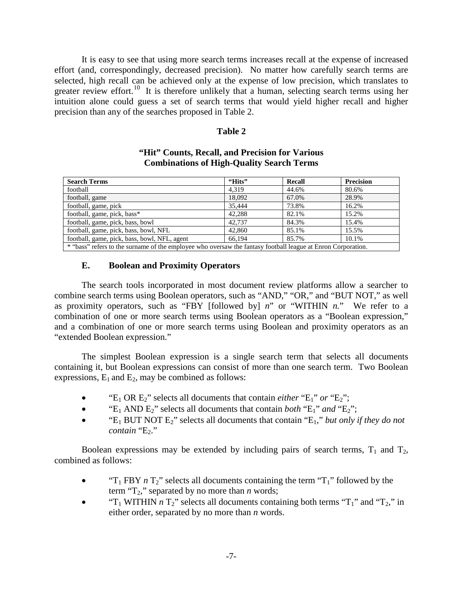It is easy to see that using more search terms increases recall at the expense of increased effort (and, correspondingly, decreased precision). No matter how carefully search terms are selected, high recall can be achieved only at the expense of low precision, which translates to greater review effort.<sup>[10](#page-19-9)</sup> It is therefore unlikely that a human, selecting search terms using her intuition alone could guess a set of search terms that would yield higher recall and higher precision than any of the searches proposed in Table 2.

### **Table 2**

# **"Hit" Counts, Recall, and Precision for Various Combinations of High-Quality Search Terms**

| <b>Search Terms</b>                                                                                          | "Hits" | Recall | <b>Precision</b> |
|--------------------------------------------------------------------------------------------------------------|--------|--------|------------------|
| football                                                                                                     | 4.319  | 44.6%  | 80.6%            |
| football, game                                                                                               | 18,092 | 67.0%  | 28.9%            |
| football, game, pick                                                                                         | 35.444 | 73.8%  | 16.2%            |
| football, game, pick, bass*                                                                                  | 42.288 | 82.1%  | 15.2%            |
| football, game, pick, bass, bowl                                                                             | 42,737 | 84.3%  | 15.4%            |
| football, game, pick, bass, bowl, NFL                                                                        | 42,860 | 85.1%  | 15.5%            |
| football, game, pick, bass, bowl, NFL, agent                                                                 | 66.194 | 85.7%  | 10.1%            |
| * "bass" refers to the surname of the employee who oversaw the fantasy football league at Enron Corporation. |        |        |                  |

# **E. Boolean and Proximity Operators**

The search tools incorporated in most document review platforms allow a searcher to combine search terms using Boolean operators, such as "AND," "OR," and "BUT NOT," as well as proximity operators, such as "FBY [followed by] *n*" or "WITHIN *n.*" We refer to a combination of one or more search terms using Boolean operators as a "Boolean expression," and a combination of one or more search terms using Boolean and proximity operators as an "extended Boolean expression."

The simplest Boolean expression is a single search term that selects all documents containing it, but Boolean expressions can consist of more than one search term. Two Boolean expressions,  $E_1$  and  $E_2$ , may be combined as follows:

- " $E_1$  OR  $E_2$ " selects all documents that contain *either* " $E_1$ " *or* " $E_2$ ";
- " $E_1$  AND  $E_2$ " selects all documents that contain *both* " $E_1$ " *and* " $E_2$ ";
- "E1 BUT NOT E2" selects all documents that contain "E1," *but only if they do not contain* "E<sub>2</sub>."

Boolean expressions may be extended by including pairs of search terms,  $T_1$  and  $T_2$ , combined as follows:

- " $T_1$  FBY *n*  $T_2$ " selects all documents containing the term " $T_1$ " followed by the term " $T_2$ ," separated by no more than *n* words;
- " $T_1$  WITHIN *n*  $T_2$ " selects all documents containing both terms " $T_1$ " and " $T_2$ ," in either order, separated by no more than *n* words.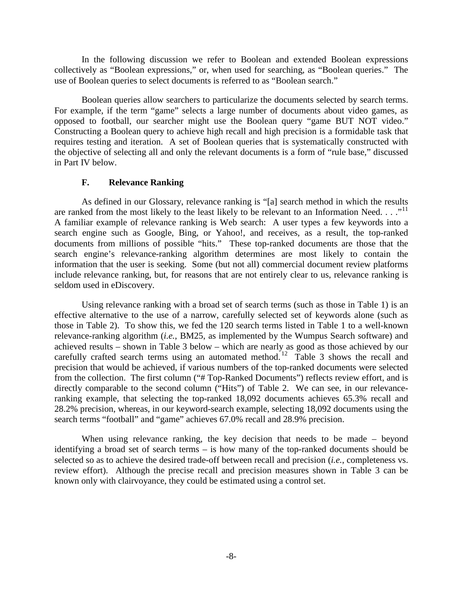In the following discussion we refer to Boolean and extended Boolean expressions collectively as "Boolean expressions," or, when used for searching, as "Boolean queries." The use of Boolean queries to select documents is referred to as "Boolean search."

Boolean queries allow searchers to particularize the documents selected by search terms. For example, if the term "game" selects a large number of documents about video games, as opposed to football, our searcher might use the Boolean query "game BUT NOT video." Constructing a Boolean query to achieve high recall and high precision is a formidable task that requires testing and iteration. A set of Boolean queries that is systematically constructed with the objective of selecting all and only the relevant documents is a form of "rule base," discussed in Part IV below.

## **F. Relevance Ranking**

As defined in our Glossary, relevance ranking is "[a] search method in which the results are ranked from the most likely to the least likely to be relevant to an Information Need.  $\dots$ <sup>[11](#page-19-10)</sup> A familiar example of relevance ranking is Web search: A user types a few keywords into a search engine such as Google, Bing, or Yahoo!, and receives, as a result, the top-ranked documents from millions of possible "hits." These top-ranked documents are those that the search engine's relevance-ranking algorithm determines are most likely to contain the information that the user is seeking. Some (but not all) commercial document review platforms include relevance ranking, but, for reasons that are not entirely clear to us, relevance ranking is seldom used in eDiscovery.

Using relevance ranking with a broad set of search terms (such as those in Table 1) is an effective alternative to the use of a narrow, carefully selected set of keywords alone (such as those in Table 2). To show this, we fed the 120 search terms listed in Table 1 to a well-known relevance-ranking algorithm (*i.e.*, BM25, as implemented by the Wumpus Search software) and achieved results – shown in Table 3 below – which are nearly as good as those achieved by our carefully crafted search terms using an automated method.<sup>[12](#page-19-11)</sup> Table 3 shows the recall and precision that would be achieved, if various numbers of the top-ranked documents were selected from the collection. The first column ("# Top-Ranked Documents") reflects review effort, and is directly comparable to the second column ("Hits") of Table 2. We can see, in our relevanceranking example, that selecting the top-ranked 18,092 documents achieves 65.3% recall and 28.2% precision, whereas, in our keyword-search example, selecting 18,092 documents using the search terms "football" and "game" achieves 67.0% recall and 28.9% precision.

When using relevance ranking, the key decision that needs to be made – beyond identifying a broad set of search terms – is how many of the top-ranked documents should be selected so as to achieve the desired trade-off between recall and precision (*i.e.*, completeness vs. review effort). Although the precise recall and precision measures shown in Table 3 can be known only with clairvoyance, they could be estimated using a control set.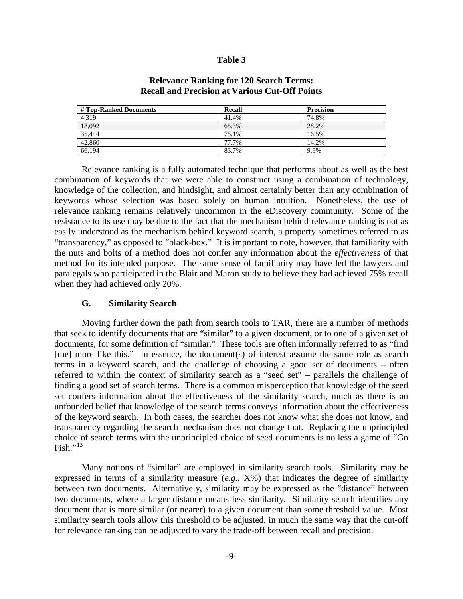### **Table 3**

| # Top-Ranked Documents | Recall | <b>Precision</b> |
|------------------------|--------|------------------|
| 4,319                  | 41.4%  | 74.8%            |
| 18,092                 | 65.3%  | 28.2%            |
| 35,444                 | 75.1%  | 16.5%            |
| 42,860                 | 77.7%  | 14.2%            |
| 66,194                 | 83.7%  | 9.9%             |

### **Relevance Ranking for 120 Search Terms: Recall and Precision at Various Cut-Off Points**

Relevance ranking is a fully automated technique that performs about as well as the best combination of keywords that we were able to construct using a combination of technology, knowledge of the collection, and hindsight, and almost certainly better than any combination of keywords whose selection was based solely on human intuition. Nonetheless, the use of relevance ranking remains relatively uncommon in the eDiscovery community. Some of the resistance to its use may be due to the fact that the mechanism behind relevance ranking is not as easily understood as the mechanism behind keyword search, a property sometimes referred to as "transparency," as opposed to "black-box." It is important to note, however, that familiarity with the nuts and bolts of a method does not confer any information about the *effectiveness* of that method for its intended purpose. The same sense of familiarity may have led the lawyers and paralegals who participated in the Blair and Maron study to believe they had achieved 75% recall when they had achieved only 20%.

### **G. Similarity Search**

Moving further down the path from search tools to TAR, there are a number of methods that seek to identify documents that are "similar" to a given document, or to one of a given set of documents, for some definition of "similar." These tools are often informally referred to as "find [me] more like this." In essence, the document(s) of interest assume the same role as search terms in a keyword search, and the challenge of choosing a good set of documents – often referred to within the context of similarity search as a "seed set" – parallels the challenge of finding a good set of search terms. There is a common misperception that knowledge of the seed set confers information about the effectiveness of the similarity search, much as there is an unfounded belief that knowledge of the search terms conveys information about the effectiveness of the keyword search. In both cases, the searcher does not know what she does not know, and transparency regarding the search mechanism does not change that. Replacing the unprincipled choice of search terms with the unprincipled choice of seed documents is no less a game of "Go  $Fish.$ <sup>''[13](#page-19-12)</sup>

Many notions of "similar" are employed in similarity search tools. Similarity may be expressed in terms of a similarity measure (*e.g.*, X%) that indicates the degree of similarity between two documents. Alternatively, similarity may be expressed as the "distance" between two documents, where a larger distance means less similarity. Similarity search identifies any document that is more similar (or nearer) to a given document than some threshold value. Most similarity search tools allow this threshold to be adjusted, in much the same way that the cut-off for relevance ranking can be adjusted to vary the trade-off between recall and precision.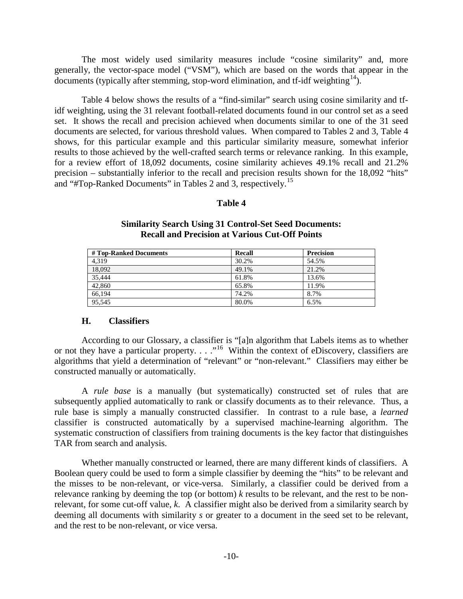The most widely used similarity measures include "cosine similarity" and, more generally, the vector-space model ("VSM"), which are based on the words that appear in the documents (typically after stemming, stop-word elimination, and tf-idf weighting<sup>[14](#page-19-13)</sup>).

Table 4 below shows the results of a "find-similar" search using cosine similarity and tfidf weighting, using the 31 relevant football-related documents found in our control set as a seed set. It shows the recall and precision achieved when documents similar to one of the 31 seed documents are selected, for various threshold values. When compared to Tables 2 and 3, Table 4 shows, for this particular example and this particular similarity measure, somewhat inferior results to those achieved by the well-crafted search terms or relevance ranking. In this example, for a review effort of 18,092 documents, cosine similarity achieves 49.1% recall and 21.2% precision – substantially inferior to the recall and precision results shown for the 18,092 "hits" and "#Top-Ranked Documents" in Tables 2 and 3, respectively.<sup>[15](#page-19-14)</sup>

# **Table 4**

| # Top-Ranked Documents | Recall | <b>Precision</b> |
|------------------------|--------|------------------|
| 4,319                  | 30.2%  | 54.5%            |
| 18.092                 | 49.1%  | 21.2%            |
| 35,444                 | 61.8%  | 13.6%            |
| 42.860                 | 65.8%  | 11.9%            |
| 66,194                 | 74.2%  | 8.7%             |
| 95,545                 | 80.0%  | 6.5%             |

# **Similarity Search Using 31 Control-Set Seed Documents: Recall and Precision at Various Cut-Off Points**

### **H. Classifiers**

According to our Glossary, a classifier is "[a]n algorithm that Labels items as to whether or not they have a particular property. . . ."<sup>[16](#page-19-15)</sup> Within the context of eDiscovery, classifiers are algorithms that yield a determination of "relevant" or "non-relevant." Classifiers may either be constructed manually or automatically.

A *rule base* is a manually (but systematically) constructed set of rules that are subsequently applied automatically to rank or classify documents as to their relevance. Thus, a rule base is simply a manually constructed classifier. In contrast to a rule base, a *learned* classifier is constructed automatically by a supervised machine-learning algorithm. The systematic construction of classifiers from training documents is the key factor that distinguishes TAR from search and analysis.

Whether manually constructed or learned, there are many different kinds of classifiers. A Boolean query could be used to form a simple classifier by deeming the "hits" to be relevant and the misses to be non-relevant, or vice-versa. Similarly, a classifier could be derived from a relevance ranking by deeming the top (or bottom) *k* results to be relevant, and the rest to be nonrelevant, for some cut-off value, *k*. A classifier might also be derived from a similarity search by deeming all documents with similarity *s* or greater to a document in the seed set to be relevant, and the rest to be non-relevant, or vice versa.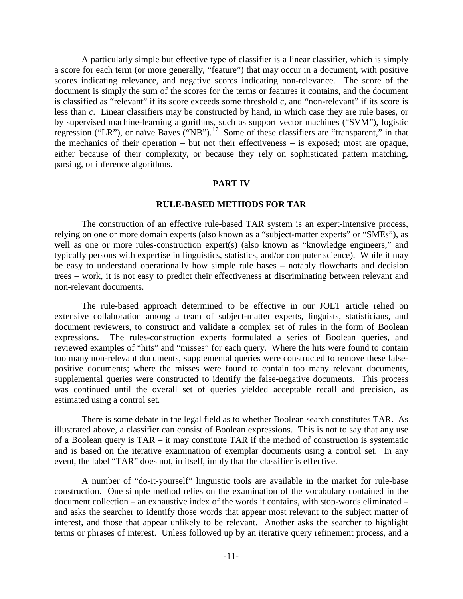A particularly simple but effective type of classifier is a linear classifier, which is simply a score for each term (or more generally, "feature") that may occur in a document, with positive scores indicating relevance, and negative scores indicating non-relevance. The score of the document is simply the sum of the scores for the terms or features it contains, and the document is classified as "relevant" if its score exceeds some threshold  $c$ , and "non-relevant" if its score is less than *c*. Linear classifiers may be constructed by hand, in which case they are rule bases, or by supervised machine-learning algorithms, such as support vector machines ("SVM"), logistic regression ("LR"), or naïve Bayes ("NB").<sup>17</sup> Some of these classifiers are "transparent," in that the mechanics of their operation – but not their effectiveness – is exposed; most are opaque, either because of their complexity, or because they rely on sophisticated pattern matching, parsing, or inference algorithms.

#### **PART IV**

#### **RULE-BASED METHODS FOR TAR**

The construction of an effective rule-based TAR system is an expert-intensive process, relying on one or more domain experts (also known as a "subject-matter experts" or "SMEs"), as well as one or more rules-construction expert(s) (also known as "knowledge engineers," and typically persons with expertise in linguistics, statistics, and/or computer science). While it may be easy to understand operationally how simple rule bases – notably flowcharts and decision trees – work, it is not easy to predict their effectiveness at discriminating between relevant and non-relevant documents.

The rule-based approach determined to be effective in our JOLT article relied on extensive collaboration among a team of subject-matter experts, linguists, statisticians, and document reviewers, to construct and validate a complex set of rules in the form of Boolean expressions. The rules-construction experts formulated a series of Boolean queries, and reviewed examples of "hits" and "misses" for each query. Where the hits were found to contain too many non-relevant documents, supplemental queries were constructed to remove these falsepositive documents; where the misses were found to contain too many relevant documents, supplemental queries were constructed to identify the false-negative documents. This process was continued until the overall set of queries yielded acceptable recall and precision, as estimated using a control set.

There is some debate in the legal field as to whether Boolean search constitutes TAR. As illustrated above, a classifier can consist of Boolean expressions. This is not to say that any use of a Boolean query is TAR – it may constitute TAR if the method of construction is systematic and is based on the iterative examination of exemplar documents using a control set. In any event, the label "TAR" does not, in itself, imply that the classifier is effective.

A number of "do-it-yourself" linguistic tools are available in the market for rule-base construction. One simple method relies on the examination of the vocabulary contained in the document collection – an exhaustive index of the words it contains, with stop-words eliminated – and asks the searcher to identify those words that appear most relevant to the subject matter of interest, and those that appear unlikely to be relevant. Another asks the searcher to highlight terms or phrases of interest. Unless followed up by an iterative query refinement process, and a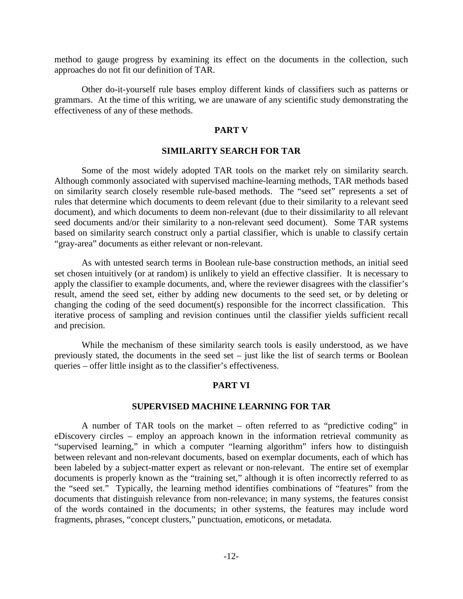method to gauge progress by examining its effect on the documents in the collection, such approaches do not fit our definition of TAR.

Other do-it-yourself rule bases employ different kinds of classifiers such as patterns or grammars. At the time of this writing, we are unaware of any scientific study demonstrating the effectiveness of any of these methods.

### **PART V**

# **SIMILARITY SEARCH FOR TAR**

Some of the most widely adopted TAR tools on the market rely on similarity search. Although commonly associated with supervised machine-learning methods, TAR methods based on similarity search closely resemble rule-based methods. The "seed set" represents a set of rules that determine which documents to deem relevant (due to their similarity to a relevant seed document), and which documents to deem non-relevant (due to their dissimilarity to all relevant seed documents and/or their similarity to a non-relevant seed document). Some TAR systems based on similarity search construct only a partial classifier, which is unable to classify certain "gray-area" documents as either relevant or non-relevant.

As with untested search terms in Boolean rule-base construction methods, an initial seed set chosen intuitively (or at random) is unlikely to yield an effective classifier. It is necessary to apply the classifier to example documents, and, where the reviewer disagrees with the classifier's result, amend the seed set, either by adding new documents to the seed set, or by deleting or changing the coding of the seed document(s) responsible for the incorrect classification. This iterative process of sampling and revision continues until the classifier yields sufficient recall and precision.

While the mechanism of these similarity search tools is easily understood, as we have previously stated, the documents in the seed set – just like the list of search terms or Boolean queries – offer little insight as to the classifier's effectiveness.

#### **PART VI**

#### **SUPERVISED MACHINE LEARNING FOR TAR**

A number of TAR tools on the market – often referred to as "predictive coding" in eDiscovery circles – employ an approach known in the information retrieval community as "supervised learning," in which a computer "learning algorithm" infers how to distinguish between relevant and non-relevant documents, based on exemplar documents, each of which has been labeled by a subject-matter expert as relevant or non-relevant. The entire set of exemplar documents is properly known as the "training set," although it is often incorrectly referred to as the "seed set." Typically, the learning method identifies combinations of "features" from the documents that distinguish relevance from non-relevance; in many systems, the features consist of the words contained in the documents; in other systems, the features may include word fragments, phrases, "concept clusters," punctuation, emoticons, or metadata.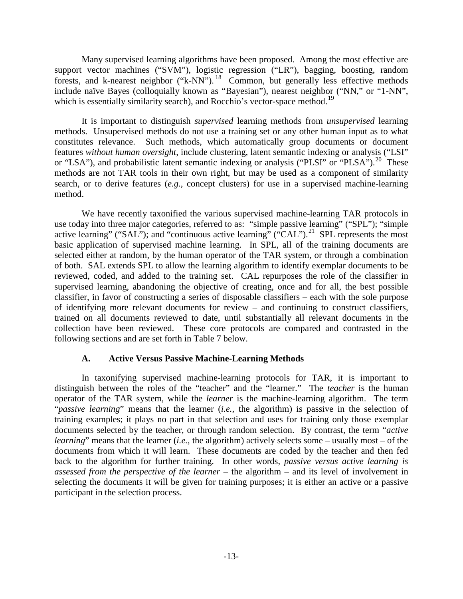Many supervised learning algorithms have been proposed. Among the most effective are support vector machines ("SVM"), logistic regression ("LR"), bagging, boosting, random forests, and k-nearest neighbor ("k-NN"). [18](#page-19-17) Common, but generally less effective methods include naïve Bayes (colloquially known as "Bayesian"), nearest neighbor ("NN," or "1-NN", which is essentially similarity search), and Rocchio's vector-space method.<sup>[19](#page-19-18)</sup>

It is important to distinguish *supervised* learning methods from *unsupervised* learning methods. Unsupervised methods do not use a training set or any other human input as to what constitutes relevance. Such methods, which automatically group documents or document features *without human oversight*, include clustering, latent semantic indexing or analysis ("LSI" or "LSA"), and probabilistic latent semantic indexing or analysis ("PLSI" or "PLSA").<sup>20</sup> These methods are not TAR tools in their own right, but may be used as a component of similarity search, or to derive features (*e.g.*, concept clusters) for use in a supervised machine-learning method.

We have recently taxonified the various supervised machine-learning TAR protocols in use today into three major categories, referred to as: "simple passive learning" ("SPL"); "simple active learning" ("SAL"); and "continuous active learning" ("CAL").<sup>[21](#page-19-20)</sup> SPL represents the most basic application of supervised machine learning. In SPL, all of the training documents are selected either at random, by the human operator of the TAR system, or through a combination of both. SAL extends SPL to allow the learning algorithm to identify exemplar documents to be reviewed, coded, and added to the training set. CAL repurposes the role of the classifier in supervised learning, abandoning the objective of creating, once and for all, the best possible classifier, in favor of constructing a series of disposable classifiers – each with the sole purpose of identifying more relevant documents for review – and continuing to construct classifiers, trained on all documents reviewed to date, until substantially all relevant documents in the collection have been reviewed. These core protocols are compared and contrasted in the following sections and are set forth in Table 7 below.

## **A. Active Versus Passive Machine-Learning Methods**

In taxonifying supervised machine-learning protocols for TAR, it is important to distinguish between the roles of the "teacher" and the "learner." The *teacher* is the human operator of the TAR system, while the *learner* is the machine-learning algorithm. The term "*passive learning*" means that the learner (*i.e.*, the algorithm) is passive in the selection of training examples; it plays no part in that selection and uses for training only those exemplar documents selected by the teacher, or through random selection. By contrast, the term "*active learning*" means that the learner (*i.e.*, the algorithm) actively selects some – usually most – of the documents from which it will learn. These documents are coded by the teacher and then fed back to the algorithm for further training. In other words, *passive versus active learning is assessed from the perspective of the learner* – the algorithm – and its level of involvement in selecting the documents it will be given for training purposes; it is either an active or a passive participant in the selection process.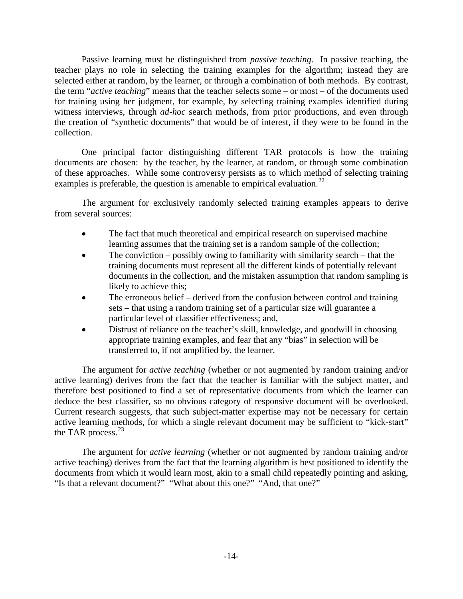Passive learning must be distinguished from *passive teaching*. In passive teaching, the teacher plays no role in selecting the training examples for the algorithm; instead they are selected either at random, by the learner, or through a combination of both methods. By contrast, the term "*active teaching*" means that the teacher selects some – or most – of the documents used for training using her judgment, for example, by selecting training examples identified during witness interviews, through *ad-hoc* search methods, from prior productions, and even through the creation of "synthetic documents" that would be of interest, if they were to be found in the collection.

One principal factor distinguishing different TAR protocols is how the training documents are chosen: by the teacher, by the learner, at random, or through some combination of these approaches. While some controversy persists as to which method of selecting training examples is preferable, the question is amenable to empirical evaluation.<sup>[22](#page-19-21)</sup>

The argument for exclusively randomly selected training examples appears to derive from several sources:

- The fact that much theoretical and empirical research on supervised machine learning assumes that the training set is a random sample of the collection;
- The conviction possibly owing to familiarity with similarity search that the training documents must represent all the different kinds of potentially relevant documents in the collection, and the mistaken assumption that random sampling is likely to achieve this;
- The erroneous belief derived from the confusion between control and training sets – that using a random training set of a particular size will guarantee a particular level of classifier effectiveness; and,
- Distrust of reliance on the teacher's skill, knowledge, and goodwill in choosing appropriate training examples, and fear that any "bias" in selection will be transferred to, if not amplified by, the learner.

The argument for *active teaching* (whether or not augmented by random training and/or active learning) derives from the fact that the teacher is familiar with the subject matter, and therefore best positioned to find a set of representative documents from which the learner can deduce the best classifier, so no obvious category of responsive document will be overlooked. Current research suggests, that such subject-matter expertise may not be necessary for certain active learning methods, for which a single relevant document may be sufficient to "kick-start" the TAR process. $23$ 

The argument for *active learning* (whether or not augmented by random training and/or active teaching) derives from the fact that the learning algorithm is best positioned to identify the documents from which it would learn most, akin to a small child repeatedly pointing and asking, "Is that a relevant document?" "What about this one?" "And, that one?"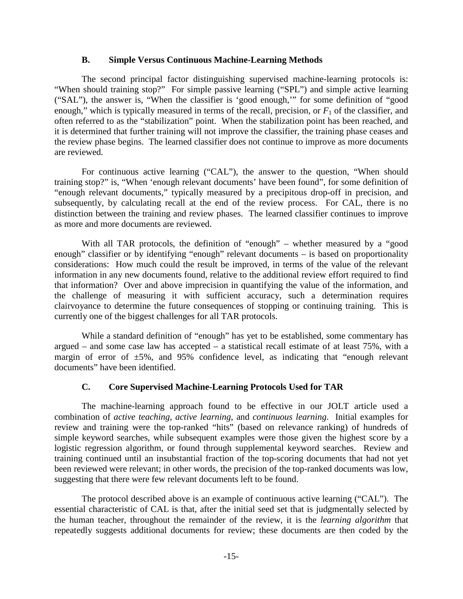### **B. Simple Versus Continuous Machine-Learning Methods**

The second principal factor distinguishing supervised machine-learning protocols is: "When should training stop?" For simple passive learning ("SPL") and simple active learning ("SAL"), the answer is, "When the classifier is 'good enough,'" for some definition of "good enough," which is typically measured in terms of the recall, precision, or  $F_1$  of the classifier, and often referred to as the "stabilization" point. When the stabilization point has been reached, and it is determined that further training will not improve the classifier, the training phase ceases and the review phase begins. The learned classifier does not continue to improve as more documents are reviewed.

For continuous active learning ("CAL"), the answer to the question, "When should training stop?" is, "When 'enough relevant documents' have been found", for some definition of "enough relevant documents," typically measured by a precipitous drop-off in precision, and subsequently, by calculating recall at the end of the review process. For CAL, there is no distinction between the training and review phases. The learned classifier continues to improve as more and more documents are reviewed.

With all TAR protocols, the definition of "enough" – whether measured by a "good enough" classifier or by identifying "enough" relevant documents – is based on proportionality considerations: How much could the result be improved, in terms of the value of the relevant information in any new documents found, relative to the additional review effort required to find that information? Over and above imprecision in quantifying the value of the information, and the challenge of measuring it with sufficient accuracy, such a determination requires clairvoyance to determine the future consequences of stopping or continuing training. This is currently one of the biggest challenges for all TAR protocols.

While a standard definition of "enough" has yet to be established, some commentary has argued – and some case law has accepted – a statistical recall estimate of at least 75%, with a margin of error of  $\pm 5\%$ , and 95% confidence level, as indicating that "enough relevant documents" have been identified.

# **C. Core Supervised Machine-Learning Protocols Used for TAR**

The machine-learning approach found to be effective in our JOLT article used a combination of *active teaching*, *active learning*, and *continuous learning*. Initial examples for review and training were the top-ranked "hits" (based on relevance ranking) of hundreds of simple keyword searches, while subsequent examples were those given the highest score by a logistic regression algorithm, or found through supplemental keyword searches. Review and training continued until an insubstantial fraction of the top-scoring documents that had not yet been reviewed were relevant; in other words, the precision of the top-ranked documents was low, suggesting that there were few relevant documents left to be found.

The protocol described above is an example of continuous active learning ("CAL"). The essential characteristic of CAL is that, after the initial seed set that is judgmentally selected by the human teacher, throughout the remainder of the review, it is the *learning algorithm* that repeatedly suggests additional documents for review; these documents are then coded by the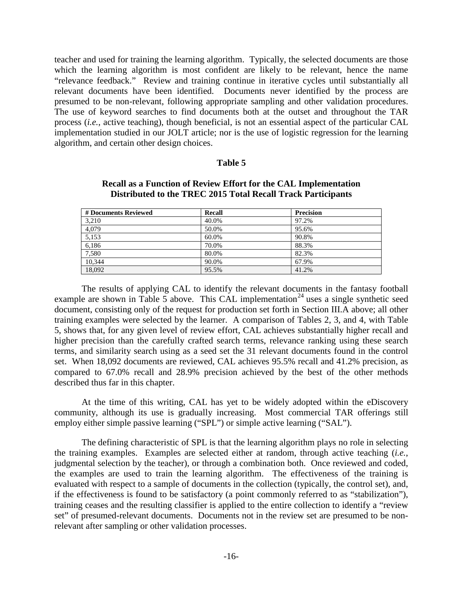teacher and used for training the learning algorithm. Typically, the selected documents are those which the learning algorithm is most confident are likely to be relevant, hence the name "relevance feedback." Review and training continue in iterative cycles until substantially all relevant documents have been identified. Documents never identified by the process are presumed to be non-relevant, following appropriate sampling and other validation procedures. The use of keyword searches to find documents both at the outset and throughout the TAR process (*i.e.*, active teaching), though beneficial, is not an essential aspect of the particular CAL implementation studied in our JOLT article; nor is the use of logistic regression for the learning algorithm, and certain other design choices.

### **Table 5**

| # Documents Reviewed | Recall | <b>Precision</b> |
|----------------------|--------|------------------|
| 3.210                | 40.0%  | 97.2%            |
| 4,079                | 50.0%  | 95.6%            |
| 5,153                | 60.0%  | 90.8%            |
| 6,186                | 70.0%  | 88.3%            |
| 7,580                | 80.0%  | 82.3%            |
| 10.344               | 90.0%  | 67.9%            |
| 18,092               | 95.5%  | 41.2%            |

## **Recall as a Function of Review Effort for the CAL Implementation Distributed to the TREC 2015 Total Recall Track Participants**

The results of applying CAL to identify the relevant documents in the fantasy football example are shown in Table 5 above. This CAL implementation<sup>[24](#page-19-23)</sup> uses a single synthetic seed document, consisting only of the request for production set forth in Section III.A above; all other training examples were selected by the learner. A comparison of Tables 2, 3, and 4, with Table 5, shows that, for any given level of review effort, CAL achieves substantially higher recall and higher precision than the carefully crafted search terms, relevance ranking using these search terms, and similarity search using as a seed set the 31 relevant documents found in the control set. When 18,092 documents are reviewed, CAL achieves 95.5% recall and 41.2% precision, as compared to 67.0% recall and 28.9% precision achieved by the best of the other methods described thus far in this chapter.

At the time of this writing, CAL has yet to be widely adopted within the eDiscovery community, although its use is gradually increasing. Most commercial TAR offerings still employ either simple passive learning ("SPL") or simple active learning ("SAL").

The defining characteristic of SPL is that the learning algorithm plays no role in selecting the training examples. Examples are selected either at random, through active teaching (*i.e.*, judgmental selection by the teacher), or through a combination both. Once reviewed and coded, the examples are used to train the learning algorithm. The effectiveness of the training is evaluated with respect to a sample of documents in the collection (typically, the control set), and, if the effectiveness is found to be satisfactory (a point commonly referred to as "stabilization"), training ceases and the resulting classifier is applied to the entire collection to identify a "review set" of presumed-relevant documents. Documents not in the review set are presumed to be nonrelevant after sampling or other validation processes.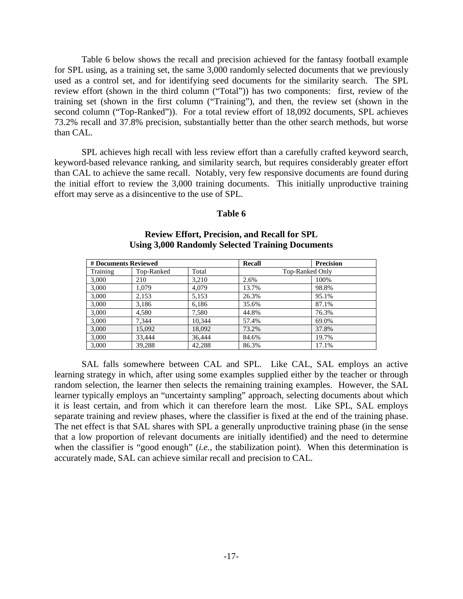Table 6 below shows the recall and precision achieved for the fantasy football example for SPL using, as a training set, the same 3,000 randomly selected documents that we previously used as a control set, and for identifying seed documents for the similarity search. The SPL review effort (shown in the third column ("Total")) has two components: first, review of the training set (shown in the first column ("Training"), and then, the review set (shown in the second column ("Top-Ranked")). For a total review effort of 18,092 documents, SPL achieves 73.2% recall and 37.8% precision, substantially better than the other search methods, but worse than CAL.

SPL achieves high recall with less review effort than a carefully crafted keyword search, keyword-based relevance ranking, and similarity search, but requires considerably greater effort than CAL to achieve the same recall. Notably, very few responsive documents are found during the initial effort to review the 3,000 training documents. This initially unproductive training effort may serve as a disincentive to the use of SPL.

#### **Table 6**

| # Documents Reviewed |            |        | Recall | <b>Precision</b> |
|----------------------|------------|--------|--------|------------------|
| Training             | Top-Ranked | Total  |        | Top-Ranked Only  |
| 3.000                | 210        | 3.210  | 2.6%   | 100%             |
| 3,000                | 1.079      | 4.079  | 13.7%  | 98.8%            |
| 3,000                | 2.153      | 5.153  | 26.3%  | 95.1%            |
| 3,000                | 3,186      | 6.186  | 35.6%  | 87.1%            |
| 3,000                | 4.580      | 7,580  | 44.8%  | 76.3%            |
| 3,000                | 7.344      | 10.344 | 57.4%  | 69.0%            |
| 3,000                | 15.092     | 18.092 | 73.2%  | 37.8%            |
| 3,000                | 33.444     | 36,444 | 84.6%  | 19.7%            |
| 3.000                | 39.288     | 42.288 | 86.3%  | 17.1%            |

### **Review Effort, Precision, and Recall for SPL Using 3,000 Randomly Selected Training Documents**

SAL falls somewhere between CAL and SPL. Like CAL, SAL employs an active learning strategy in which, after using some examples supplied either by the teacher or through random selection, the learner then selects the remaining training examples. However, the SAL learner typically employs an "uncertainty sampling" approach, selecting documents about which it is least certain, and from which it can therefore learn the most. Like SPL, SAL employs separate training and review phases, where the classifier is fixed at the end of the training phase. The net effect is that SAL shares with SPL a generally unproductive training phase (in the sense that a low proportion of relevant documents are initially identified) and the need to determine when the classifier is "good enough" (*i.e.*, the stabilization point). When this determination is accurately made, SAL can achieve similar recall and precision to CAL.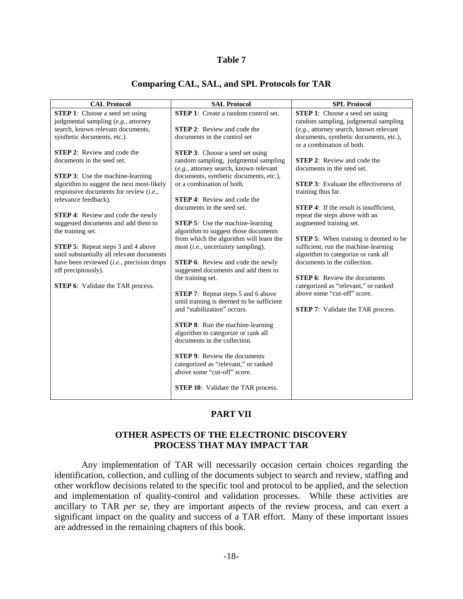### **Table 7**

### **Comparing CAL, SAL, and SPL Protocols for TAR**

| <b>CAL Protocol</b>                          | <b>SAL Protocol</b>                                                            | <b>SPL Protocol</b>                           |
|----------------------------------------------|--------------------------------------------------------------------------------|-----------------------------------------------|
| <b>STEP 1:</b> Choose a seed set using       | STEP 1: Create a random control set.                                           | <b>STEP 1:</b> Choose a seed set using        |
| judgmental sampling (e.g., attorney          |                                                                                | random sampling, judgmental sampling          |
| search, known relevant documents,            | <b>STEP 2:</b> Review and code the                                             | (e.g., attorney search, known relevant        |
| synthetic documents, etc.).                  | documents in the control set                                                   | documents, synthetic documents, etc.),        |
|                                              |                                                                                | or a combination of both.                     |
| <b>STEP 2:</b> Review and code the           | <b>STEP 3:</b> Choose a seed set using                                         |                                               |
| documents in the seed set.                   | random sampling, judgmental sampling                                           | <b>STEP 2:</b> Review and code the            |
|                                              | (e.g., attorney search, known relevant                                         | documents in the seed set.                    |
| STEP 3: Use the machine-learning             | documents, synthetic documents, etc.),                                         |                                               |
| algorithm to suggest the next most-likely    | or a combination of both.                                                      | <b>STEP 3:</b> Evaluate the effectiveness of  |
| responsive documents for review (i.e.,       |                                                                                | training thus far.                            |
| relevance feedback).                         | <b>STEP 4:</b> Review and code the                                             |                                               |
|                                              | documents in the seed set.                                                     | <b>STEP 4:</b> If the result is insufficient, |
| <b>STEP 4:</b> Review and code the newly     |                                                                                | repeat the steps above with an                |
| suggested documents and add them to          | <b>STEP 5:</b> Use the machine-learning                                        | augmented training set.                       |
| the training set.                            | algorithm to suggest those documents                                           |                                               |
|                                              | from which the algorithm will learn the                                        | <b>STEP 5:</b> When training is deemed to be  |
| <b>STEP 5:</b> Repeat steps 3 and 4 above    | most (i.e., uncertainty sampling).                                             | sufficient, run the machine-learning          |
| until substantially all relevant documents   |                                                                                | algorithm to categorize or rank all           |
| have been reviewed $(i.e., precision drops)$ | <b>STEP 6:</b> Review and code the newly                                       | documents in the collection.                  |
| off precipitously).                          | suggested documents and add them to                                            |                                               |
|                                              | the training set.                                                              | <b>STEP 6:</b> Review the documents           |
| <b>STEP 6:</b> Validate the TAR process.     |                                                                                | categorized as "relevant," or ranked          |
|                                              | <b>STEP 7:</b> Repeat steps 5 and 6 above                                      | above some "cut-off" score.                   |
|                                              | until training is deemed to be sufficient                                      |                                               |
|                                              | and "stabilization" occurs.                                                    | <b>STEP 7:</b> Validate the TAR process.      |
|                                              |                                                                                |                                               |
|                                              | <b>STEP 8:</b> Run the machine-learning<br>algorithm to categorize or rank all |                                               |
|                                              | documents in the collection.                                                   |                                               |
|                                              |                                                                                |                                               |
|                                              | <b>STEP 9:</b> Review the documents                                            |                                               |
|                                              | categorized as "relevant," or ranked                                           |                                               |
|                                              | above some "cut-off" score.                                                    |                                               |
|                                              |                                                                                |                                               |
|                                              | <b>STEP 10:</b> Validate the TAR process.                                      |                                               |
|                                              |                                                                                |                                               |

# **PART VII**

# **OTHER ASPECTS OF THE ELECTRONIC DISCOVERY PROCESS THAT MAY IMPACT TAR**

Any implementation of TAR will necessarily occasion certain choices regarding the identification, collection, and culling of the documents subject to search and review, staffing and other workflow decisions related to the specific tool and protocol to be applied, and the selection and implementation of quality-control and validation processes. While these activities are ancillary to TAR *per se*, they are important aspects of the review process, and can exert a significant impact on the quality and success of a TAR effort. Many of these important issues are addressed in the remaining chapters of this book.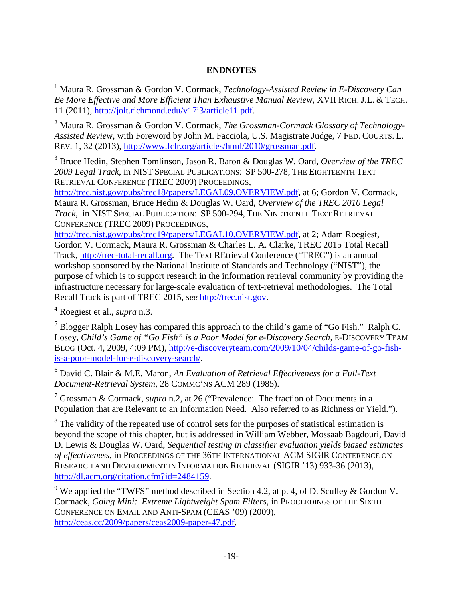# **ENDNOTES**

<sup>1</sup> Maura R. Grossman & Gordon V. Cormack, *Technology-Assisted Review in E-Discovery Can Be More Effective and More Efficient Than Exhaustive Manual Review*, XVII RICH. J.L. & TECH. 11 (2011), [http://jolt.richmond.edu/v17i3/article11.pdf.](http://jolt.richmond.edu/v17i3/article11.pdf)

<sup>2</sup> Maura R. Grossman & Gordon V. Cormack, *The Grossman-Cormack Glossary of Technology-Assisted Review*, with Foreword by John M. Facciola, U.S. Magistrate Judge, 7 FED. COURTS. L. REV. 1, 32 (2013), [http://www.fclr.org/articles/html/2010/grossman.pdf.](http://www.fclr.org/articles/html/2010/grossman.pdf)

<sup>3</sup> Bruce Hedin, Stephen Tomlinson, Jason R. Baron & Douglas W. Oard, *Overview of the TREC 2009 Legal Track*, in NIST SPECIAL PUBLICATIONS: SP 500-278, THE EIGHTEENTH TEXT RETRIEVAL CONFERENCE (TREC 2009) PROCEEDINGS,

[http://trec.nist.gov/pubs/trec18/papers/LEGAL09.OVERVIEW.pdf,](http://trec.nist.gov/pubs/trec18/papers/LEGAL09.OVERVIEW.pdf) at 6; Gordon V. Cormack, Maura R. Grossman, Bruce Hedin & Douglas W. Oard, *Overview of the TREC 2010 Legal Track*, in NIST SPECIAL PUBLICATION: SP 500-294, THE NINETEENTH TEXT RETRIEVAL CONFERENCE (TREC 2009) PROCEEDINGS,

[http://trec.nist.gov/pubs/trec19/papers/LEGAL10.OVERVIEW.pdf,](http://trec.nist.gov/pubs/trec19/papers/LEGAL10.OVERVIEW.pdf) at 2; Adam Roegiest, Gordon V. Cormack, Maura R. Grossman & Charles L. A. Clarke, TREC 2015 Total Recall Track, [http://trec-total-recall.org.](http://trec-total-recall.org/) The Text REtrieval Conference ("TREC") is an annual workshop sponsored by the National Institute of Standards and Technology ("NIST"), the purpose of which is to support research in the information retrieval community by providing the infrastructure necessary for large-scale evaluation of text-retrieval methodologies. The Total Recall Track is part of TREC 2015, *see* [http://trec.nist.gov.](http://trec.nist.gov/)

<sup>4</sup> Roegiest et al., *supra* n.3.

<sup>5</sup> Blogger Ralph Losey has compared this approach to the child's game of "Go Fish." Ralph C. Losey, *Child's Game of "Go Fish" is a Poor Model for e-Discovery Search*, E-DISCOVERY TEAM BLOG (Oct. 4, 2009, 4:09 PM), [http://e-discoveryteam.com/2009/10/04/childs-game-of-go-fish](http://e-discoveryteam.com/2009/10/04/childs-game-of-go-fish-is-a-poor-model-for-e-discovery-search/)[is-a-poor-model-for-e-discovery-search/.](http://e-discoveryteam.com/2009/10/04/childs-game-of-go-fish-is-a-poor-model-for-e-discovery-search/)

<sup>6</sup> David C. Blair & M.E. Maron, *An Evaluation of Retrieval Effectiveness for a Full-Text Document-Retrieval System*, 28 COMMC'NS ACM 289 (1985).

<sup>7</sup> Grossman & Cormack, *supra* n.2, at 26 ("Prevalence: The fraction of Documents in a Population that are Relevant to an Information Need. Also referred to as Richness or Yield.").

<sup>8</sup> The validity of the repeated use of control sets for the purposes of statistical estimation is beyond the scope of this chapter, but is addressed in William Webber, Mossaab Bagdouri, David D. Lewis & Douglas W. Oard, *Sequential testing in classifier evaluation yields biased estimates of effectiveness*, in PROCEEDINGS OF THE 36TH INTERNATIONAL ACM SIGIR CONFERENCE ON RESEARCH AND DEVELOPMENT IN INFORMATION RETRIEVAL (SIGIR '13) 933-36 (2013), [http://dl.acm.org/citation.cfm?id=2484159.](http://dl.acm.org/citation.cfm?id=2484159)

<sup>9</sup> We applied the "TWFS" method described in Section 4.2, at p. 4, of D. Sculley & Gordon V. Cormack, *Going Mini: Extreme Lightweight Spam Filters*, in PROCEEDINGS OF THE SIXTH CONFERENCE ON EMAIL AND ANTI-SPAM (CEAS '09) (2009), [http://ceas.cc/2009/papers/ceas2009-paper-47.pdf.](http://ceas.cc/2009/papers/ceas2009-paper-47.pdf)